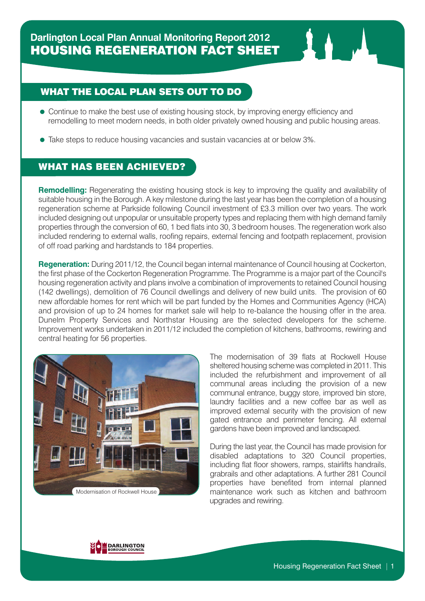

- Continue to make the best use of existing housing stock, by improving energy efficiency and remodelling to meet modern needs, in both older privately owned housing and public housing areas.
- Take steps to reduce housing vacancies and sustain vacancies at or below 3%.

## WHAT HAS BEEN ACHIEVED?

**Remodelling:** Regenerating the existing housing stock is key to improving the quality and availability of suitable housing in the Borough. A key milestone during the last year has been the completion of a housing regeneration scheme at Parkside following Council investment of £3.3 million over two years. The work included designing out unpopular or unsuitable property types and replacing them with high demand family properties through the conversion of 60, 1 bed flats into 30, 3 bedroom houses. The regeneration work also included rendering to external walls, roofing repairs, external fencing and footpath replacement, provision of off road parking and hardstands to 184 properties.

**Regeneration:** During 2011/12, the Council began internal maintenance of Council housing at Cockerton, the first phase of the Cockerton Regeneration Programme. The Programme is a major part of the Council's housing regeneration activity and plans involve a combination of improvements to retained Council housing (142 dwellings), demolition of 76 Council dwellings and delivery of new build units. The provision of 60 new affordable homes for rent which will be part funded by the Homes and Communities Agency (HCA) and provision of up to 24 homes for market sale will help to re-balance the housing offer in the area. Dunelm Property Services and Northstar Housing are the selected developers for the scheme. Improvement works undertaken in 2011/12 included the completion of kitchens, bathrooms, rewiring and central heating for 56 properties.



The modernisation of 39 flats at Rockwell House sheltered housing scheme was completed in 2011. This included the refurbishment and improvement of all communal areas including the provision of a new communal entrance, buggy store, improved bin store, laundry facilities and a new coffee bar as well as improved external security with the provision of new gated entrance and perimeter fencing. All external gardens have been improved and landscaped.

During the last year, the Council has made provision for disabled adaptations to 320 Council properties, including flat floor showers, ramps, stairlifts handrails, grabrails and other adaptations. A further 281 Council properties have benefited from internal planned maintenance work such as kitchen and bathroom upgrades and rewiring.

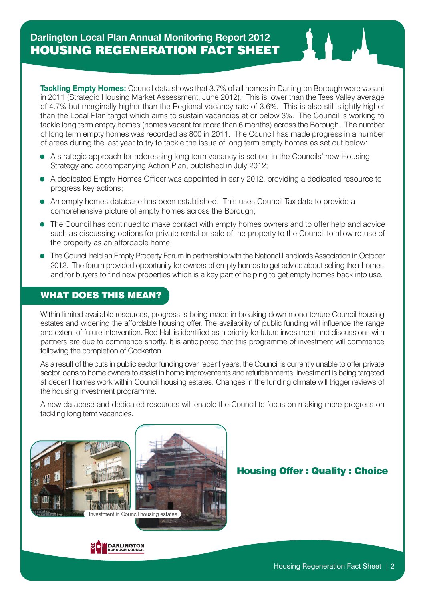**Tackling Empty Homes:** Council data shows that 3.7% of all homes in Darlington Borough were vacant in 2011 (Strategic Housing Market Assessment, June 2012). This is lower than the Tees Valley average of 4.7% but marginally higher than the Regional vacancy rate of 3.6%. This is also still slightly higher than the Local Plan target which aims to sustain vacancies at or below 3%. The Council is working to tackle long term empty homes (homes vacant for more than 6 months) across the Borough. The number of long term empty homes was recorded as 800 in 2011. The Council has made progress in a number of areas during the last year to try to tackle the issue of long term empty homes as set out below:

- A strategic approach for addressing long term vacancy is set out in the Councils' new Housing Strategy and accompanying Action Plan, published in July 2012;
- A dedicated Empty Homes Officer was appointed in early 2012, providing a dedicated resource to progress key actions;
- An empty homes database has been established. This uses Council Tax data to provide a comprehensive picture of empty homes across the Borough;
- The Council has continued to make contact with empty homes owners and to offer help and advice such as discussing options for private rental or sale of the property to the Council to allow re-use of the property as an affordable home;
- The Council held an Empty Property Forum in partnership with the National Landlords Association in October 2012. The forum provided opportunity for owners of empty homes to get advice about selling their homes and for buyers to find new properties which is a key part of helping to get empty homes back into use.

## WHAT DOES THIS MEAN?

Within limited available resources, progress is being made in breaking down mono-tenure Council housing estates and widening the affordable housing offer. The availability of public funding will influence the range and extent of future intervention. Red Hall is identified as a priority for future investment and discussions with partners are due to commence shortly. It is anticipated that this programme of investment will commence following the completion of Cockerton.

As a result of the cuts in public sector funding over recent years, the Council is currently unable to offer private sector loans to home owners to assist in home improvements and refurbishments. Investment is being targeted at decent homes work within Council housing estates. Changes in the funding climate will trigger reviews of the housing investment programme.

A new database and dedicated resources will enable the Council to focus on making more progress on tackling long term vacancies.



## Housing Offer : Quality : Choice